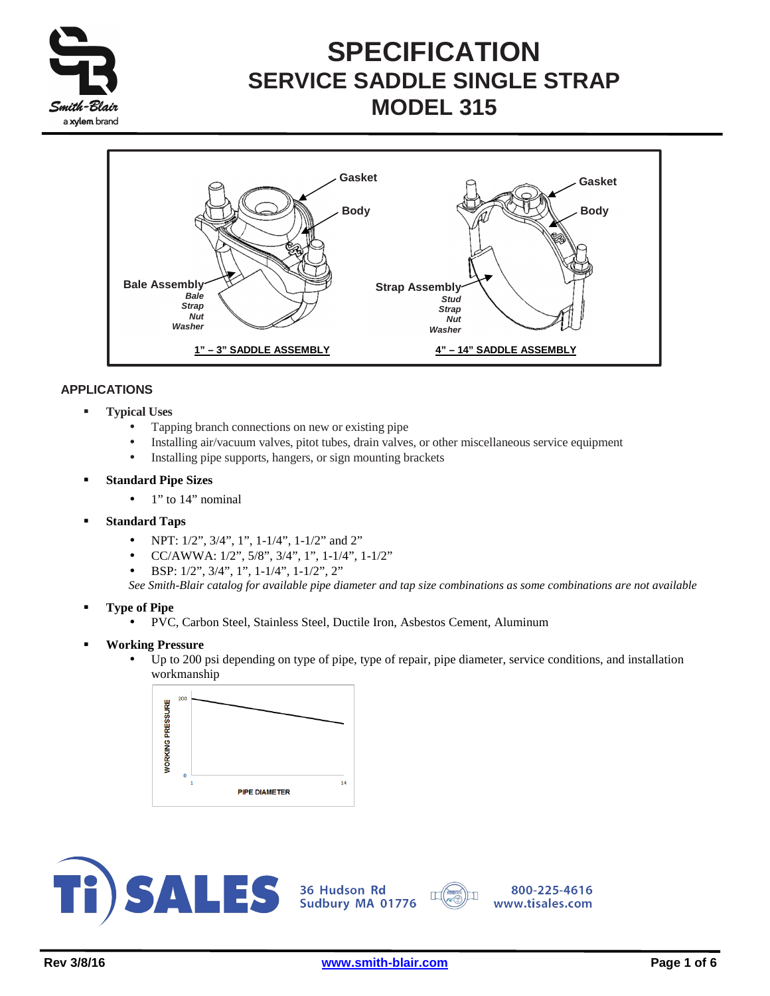



### **APPLICATIONS**

- **Typical Uses** 
	- Tapping branch connections on new or existing pipe
	- Installing air/vacuum valves, pitot tubes, drain valves, or other miscellaneous service equipment
	- Installing pipe supports, hangers, or sign mounting brackets
- **Standard Pipe Sizes** 
	- $\bullet$  1" to 14" nominal
- **Standard Taps** 
	- NPT:  $1/2$ ",  $3/4$ ",  $1$ ",  $1-1/4$ ",  $1-1/2$ " and  $2$ "
	- CC/AWWA:  $1/2$ ",  $5/8$ ",  $3/4$ ",  $1$ ",  $1-1/4$ ",  $1-1/2$ "
	- BSP: 1/2", 3/4", 1", 1-1/4", 1-1/2", 2"

*See Smith-Blair catalog for available pipe diameter and tap size combinations as some combinations are not available*

- **Type of Pipe** 
	- PVC, Carbon Steel, Stainless Steel, Ductile Iron, Asbestos Cement, Aluminum
- **Working Pressure** 
	- Up to 200 psi depending on type of pipe, type of repair, pipe diameter, service conditions, and installation workmanship





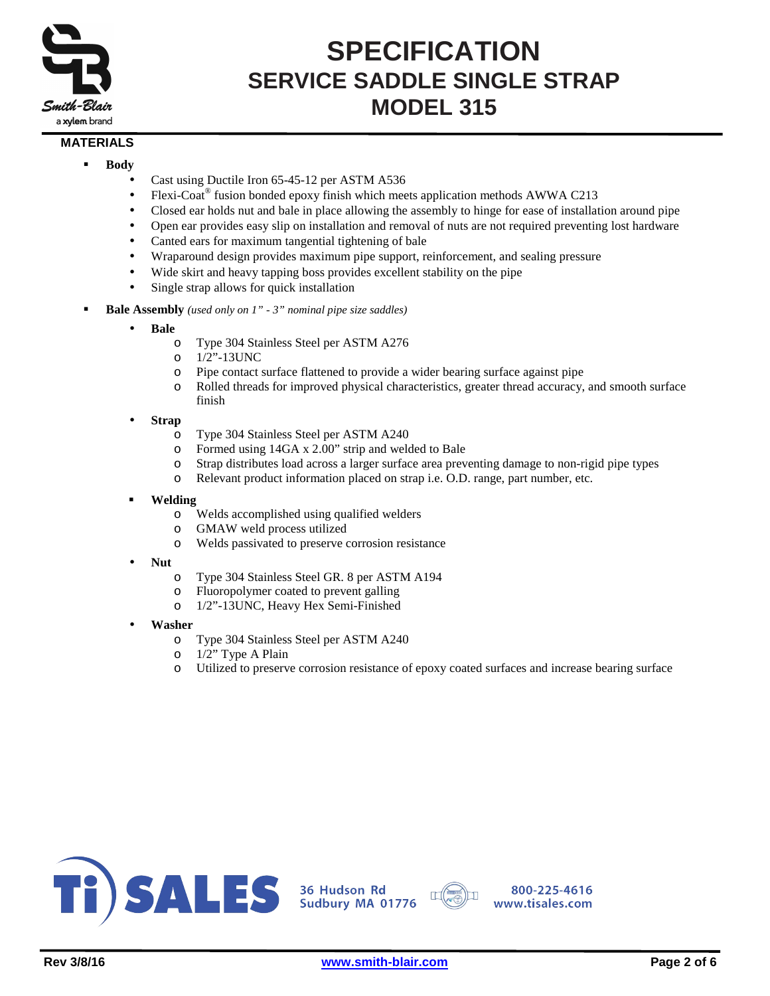

### **MATERIALS**

- **Body** 
	- Cast using Ductile Iron 65-45-12 per ASTM A536
	- Flexi-Coat® fusion bonded epoxy finish which meets application methods AWWA C213
	- Closed ear holds nut and bale in place allowing the assembly to hinge for ease of installation around pipe
	- Open ear provides easy slip on installation and removal of nuts are not required preventing lost hardware
	- Canted ears for maximum tangential tightening of bale
	- Wraparound design provides maximum pipe support, reinforcement, and sealing pressure
	- Wide skirt and heavy tapping boss provides excellent stability on the pipe
	- Single strap allows for quick installation
- **Bale Assembly** *(used only on 1" 3" nominal pipe size saddles)*
	- **Bale**
		- o Type 304 Stainless Steel per ASTM A276
		- o 1/2"-13UNC
		- o Pipe contact surface flattened to provide a wider bearing surface against pipe
		- o Rolled threads for improved physical characteristics, greater thread accuracy, and smooth surface finish
	- **Strap**
		- o Type 304 Stainless Steel per ASTM A240
		- o Formed using 14GA x 2.00" strip and welded to Bale
		- o Strap distributes load across a larger surface area preventing damage to non-rigid pipe types
		- o Relevant product information placed on strap i.e. O.D. range, part number, etc.
	- **Welding**
		- o Welds accomplished using qualified welders
		- o GMAW weld process utilized
		- o Welds passivated to preserve corrosion resistance
	- **Nut**
		- o Type 304 Stainless Steel GR. 8 per ASTM A194
		- o Fluoropolymer coated to prevent galling
		- o 1/2"-13UNC, Heavy Hex Semi-Finished
	- **Washer**
		- o Type 304 Stainless Steel per ASTM A240
		- o 1/2" Type A Plain
		- o Utilized to preserve corrosion resistance of epoxy coated surfaces and increase bearing surface



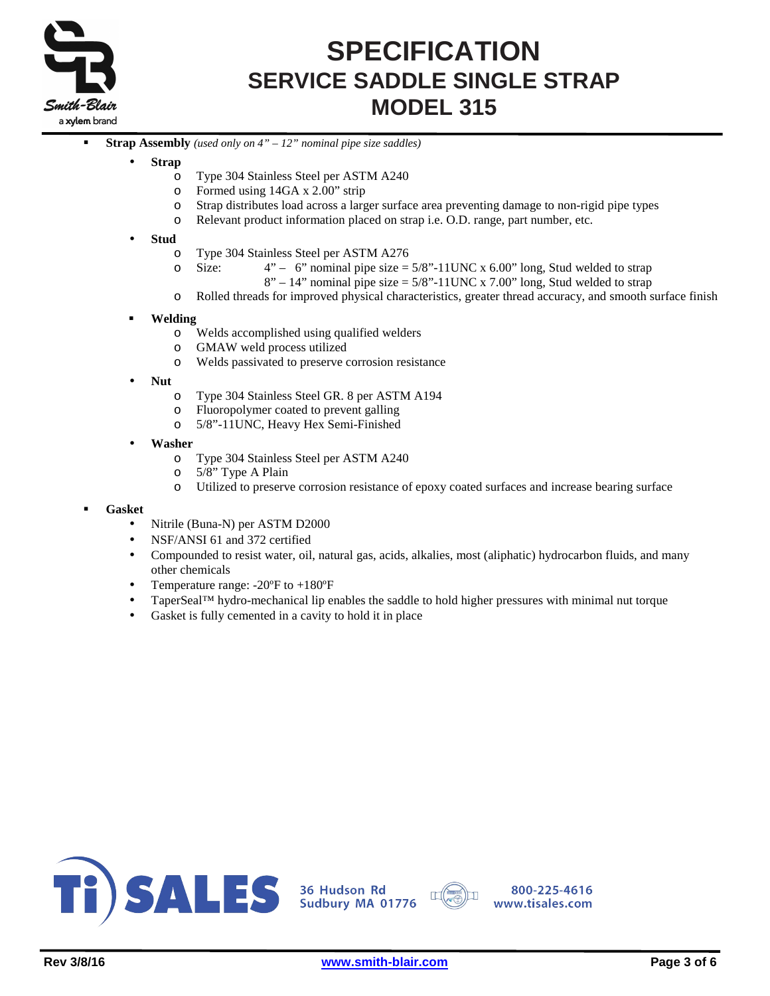

- **Strap Assembly** *(used only on 4" 12" nominal pipe size saddles)*
	- **Strap**
		- o Type 304 Stainless Steel per ASTM A240
		- o Formed using 14GA x 2.00" strip
		- o Strap distributes load across a larger surface area preventing damage to non-rigid pipe types
		- o Relevant product information placed on strap i.e. O.D. range, part number, etc.

#### • **Stud**

- o Type 304 Stainless Steel per ASTM A276
- $\degree$  Size: 4" 6" nominal pipe size = 5/8"-11UNC x 6.00" long, Stud welded to strap
	- $8" 14"$  nominal pipe size = 5/8"-11UNC x 7.00" long, Stud welded to strap
- o Rolled threads for improved physical characteristics, greater thread accuracy, and smooth surface finish

#### **Welding**

- o Welds accomplished using qualified welders
- o GMAW weld process utilized
- o Welds passivated to preserve corrosion resistance
- **Nut**
	- o Type 304 Stainless Steel GR. 8 per ASTM A194
	- o Fluoropolymer coated to prevent galling
	- o 5/8"-11UNC, Heavy Hex Semi-Finished

#### • **Washer**

- o Type 304 Stainless Steel per ASTM A240
- o 5/8" Type A Plain
- o Utilized to preserve corrosion resistance of epoxy coated surfaces and increase bearing surface

#### **Gasket**

- Nitrile (Buna-N) per ASTM D2000
- NSF/ANSI 61 and 372 certified
- Compounded to resist water, oil, natural gas, acids, alkalies, most (aliphatic) hydrocarbon fluids, and many other chemicals
- Temperature range: -20ºF to +180ºF
- TaperSeal™ hydro-mechanical lip enables the saddle to hold higher pressures with minimal nut torque
- Gasket is fully cemented in a cavity to hold it in place



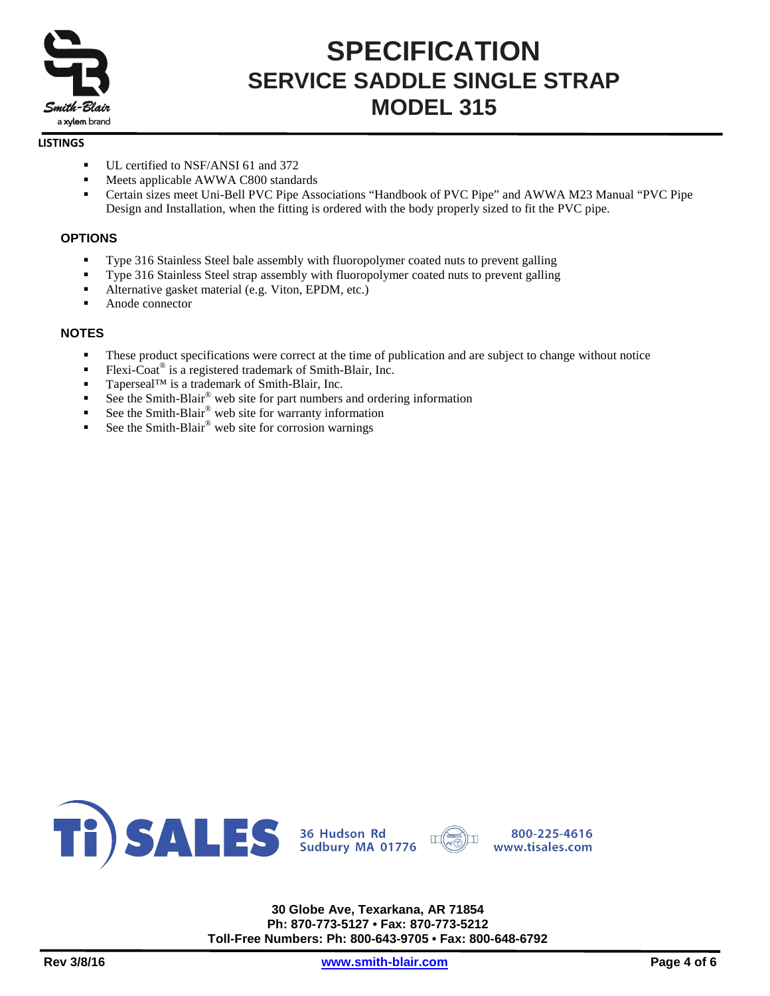

#### **LISTINGS**

- UL certified to NSF/ANSI 61 and 372
- Meets applicable AWWA C800 standards
- Certain sizes meet Uni-Bell PVC Pipe Associations "Handbook of PVC Pipe" and AWWA M23 Manual "PVC Pipe Design and Installation, when the fitting is ordered with the body properly sized to fit the PVC pipe.

### **OPTIONS**

- Type 316 Stainless Steel bale assembly with fluoropolymer coated nuts to prevent galling
- Type 316 Stainless Steel strap assembly with fluoropolymer coated nuts to prevent galling
- Alternative gasket material (e.g. Viton, EPDM, etc.)
- Anode connector

### **NOTES**

- These product specifications were correct at the time of publication and are subject to change without notice
- Flexi-Coat<sup>®</sup> is a registered trademark of Smith-Blair, Inc.
- Taperseal™ is a trademark of Smith-Blair, Inc.
- See the Smith-Blair® web site for part numbers and ordering information
- See the Smith-Blair<sup>®</sup> web site for warranty information
- See the Smith-Blair® web site for corrosion warnings



**30 Globe Ave, Texarkana, AR 71854 Ph: 870-773-5127 • Fax: 870-773-5212 Toll-Free Numbers: Ph: 800-643-9705 • Fax: 800-648-6792**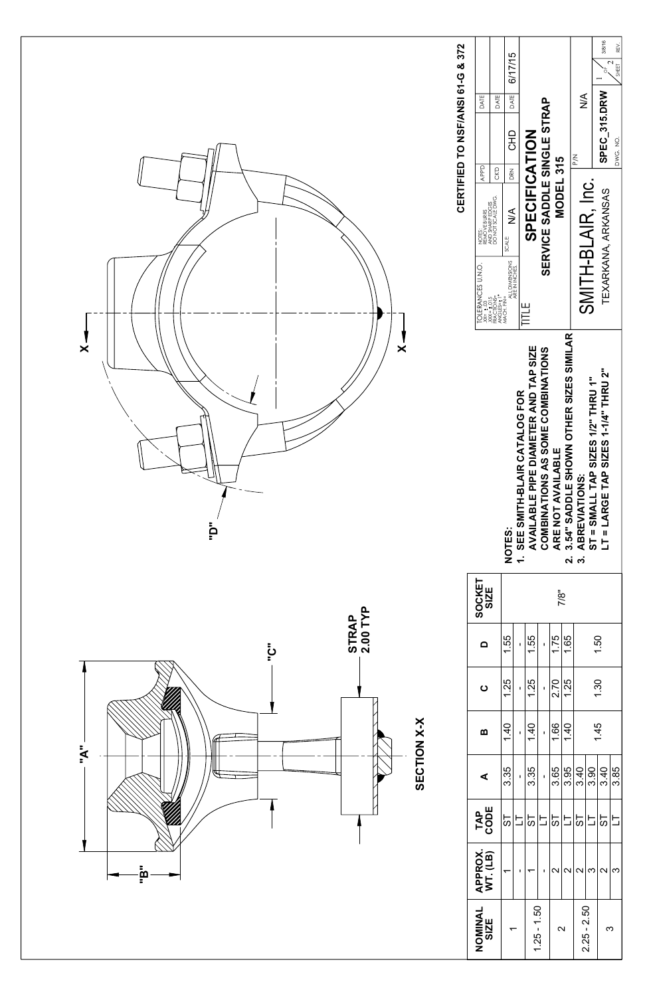

| NOMINAL<br>SIZE   | APPROX.<br>WT. (LB) | TAP<br>CODE          | ⋖            | ш                    |
|-------------------|---------------------|----------------------|--------------|----------------------|
|                   |                     | 19                   | 3.35         | $\frac{1}{\sqrt{2}}$ |
|                   |                     | 与                    | f,           | -                    |
|                   |                     | 19                   | 3.35         | $\tilde{\div}$       |
| $1.25 - 1.50$     |                     | $\overline{\square}$ | $\mathbf{I}$ |                      |
|                   | 2                   | 5 <sub>1</sub>       | 3.65         | $\frac{6}{1}$        |
| $\mathbf{\Omega}$ | $\mathbf{\Omega}$   | 与                    | 3.95         |                      |
|                   | 2                   | 19                   | 3.40         |                      |
| $2.25 - 2.50$     | ო                   | 与                    | 3.90         |                      |
| က                 | $\mathbf{\Omega}$   | 55                   | 3.40         |                      |
|                   | ო                   | 与                    | 3.85         |                      |
|                   |                     |                      |              |                      |